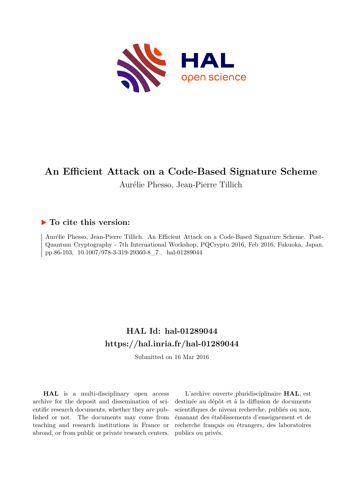

# **An Efficient Attack on a Code-Based Signature Scheme**

Aurélie Phesso, Jean-Pierre Tillich

# **To cite this version:**

Aurélie Phesso, Jean-Pierre Tillich. An Efficient Attack on a Code-Based Signature Scheme. Post-Quantum Cryptography - 7th International Workshop, PQCrypto 2016, Feb 2016, Fukuoka, Japan. pp.86-103,  $10.1007/978-3-319-29360-8\_7$ . hal-01289044

# **HAL Id: hal-01289044 <https://hal.inria.fr/hal-01289044>**

Submitted on 16 Mar 2016

**HAL** is a multi-disciplinary open access archive for the deposit and dissemination of scientific research documents, whether they are published or not. The documents may come from teaching and research institutions in France or abroad, or from public or private research centers.

L'archive ouverte pluridisciplinaire **HAL**, est destinée au dépôt et à la diffusion de documents scientifiques de niveau recherche, publiés ou non, émanant des établissements d'enseignement et de recherche français ou étrangers, des laboratoires publics ou privés.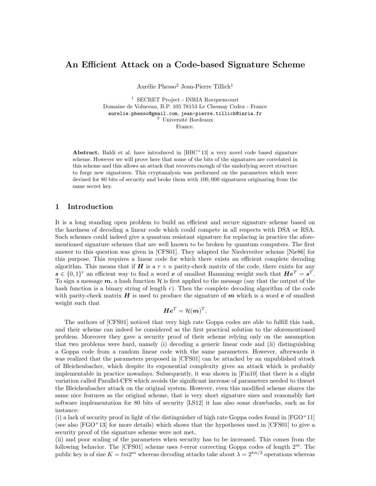# An Efficient Attack on a Code-based Signature Scheme

Aurélie Phesso<sup>2</sup> Jean-Pierre Tillich<sup>1</sup>

<sup>1</sup> SECRET Project - INRIA Rocquencourt Domaine de Voluceau, B.P. 105 78153 Le Chesnay Cedex - France aurelie.phesso@gmail.com, jean-pierre.tillich@inria.fr  $^{\rm 2}$ Université Bordeaux France.

**Abstract.** Baldi et al. have introduced in  $[BBC + 13]$  a very novel code based signature scheme. However we will prove here that some of the bits of the signatures are correlated in this scheme and this allows an attack that recovers enough of the underlying secret structure to forge new signatures. This cryptanalysis was performed on the parameters which were devised for 80 bits of security and broke them with 100, 000 signatures originating from the same secret key.

# 1 Introduction

It is a long standing open problem to build an efficient and secure signature scheme based on the hardness of decoding a linear code which could compete in all respects with DSA or RSA. Such schemes could indeed give a quantum resistant signature for replacing in practice the aforementioned signature schemes that are well known to be broken by quantum computers. The first answer to this question was given in [CFS01]. They adapted the Niederreiter scheme [Nie86] for this purpose. This requires a linear code for which there exists an efficient complete decoding algorithm. This means that if  $H$  is a  $r \times n$  parity-check matrix of the code, there exists for any  $s \in \{0,1\}^r$  an efficient way to find a word e of smallest Hamming weight such that  $He^T = s^T$ . To sign a message  $m$ , a hash function H is first applied to the message (say that the output of the hash function is a binary string of length  $r$ ). Then the complete decoding algorithm of the code with parity-check matrix  $H$  is used to produce the signature of  $m$  which is a word  $e$  of smallest weight such that

$$
\boldsymbol{H}\boldsymbol{e}^T = \mathcal{H}(\boldsymbol{m})^T.
$$

The authors of [CFS01] noticed that very high rate Goppa codes are able to fulfill this task, and their scheme can indeed be considered as the first practical solution to the aforementioned problem. Moreover they gave a security proof of their scheme relying only on the assumption that two problems were hard, namely (i) decoding a generic linear code and (ii) distinguishing a Goppa code from a random linear code with the same parameters. However, afterwards it was realized that the parameters proposed in [CFS01] can be attacked by an unpublished attack of Bleichenbacher, which despite its exponential complexity gives an attack which is probably implementable in practice nowadays. Subsequently, it was shown in [Fin10] that there is a slight variation called Parallel-CFS which avoids the significant increase of parameters needed to thwart the Bleichenbacher attack on the original system. However, even this modified scheme shares the same nice features as the original scheme, that is very short signature sizes and reasonably fast software implementation for 80 bits of security [LS12] it has also some drawbacks, such as for instance:

(i) a lack of security proof in light of the distinguisher of high rate Goppa codes found in  $[FGO+11]$ (see also  $[FGO+13]$  for more details) which shows that the hypotheses used in  $[CFS01]$  to give a security proof of the signature scheme were not met,

(ii) and poor scaling of the parameters when security has to be increased. This comes from the following behavior. The  $[CFS01]$  scheme uses t-error correcting Goppa codes of length  $2^m$ . The public key is of size  $K = tm2^m$  whereas decoding attacks take about  $\lambda = 2^{tm/2}$  operations whereas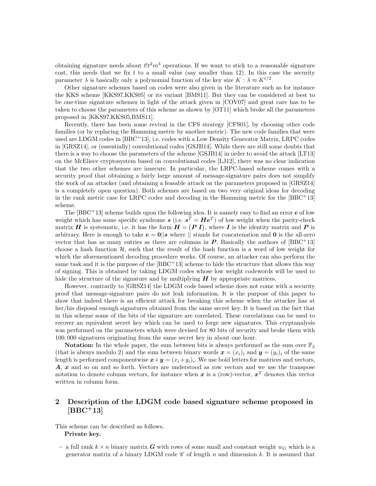obtaining signature needs about  $tlt^2m^3$  operations. If we want to stick to a reasonable signature cost, this needs that we fix t to a small value (say smaller than 12). In this case the security parameter  $\lambda$  is basically only a polynomial function of the key size  $K : \lambda \approx K^{t/2}$ .

Other signature schemes based on codes were also given in the literature such as for instance the KKS scheme [KKS97,KKS05] or its variant [BMS11]. But they can be considered at best to be one-time signature schemes in light of the attack given in [COV07] and great care has to be taken to choose the parameters of this scheme as shown by [OT11] which broke all the parameters proposed in [KKS97,KKS05,BMS11].

Recently, there has been some revival in the CFS strategy [CFS01], by choosing other code families (or by replacing the Hamming metric by another metric). The new code families that were used are LDGM codes in [BBC+13], i.e. codes with a Low Density Generator Matrix, LRPC codes in [GRSZ14], or (essentially) convolutional codes [GSJB14]. While there are still some doubts that there is a way to choose the parameters of the scheme [GSJB14] in order to avoid the attack [LT13] on the McEliece cryptosystem based on convolutional codes [LJ12], there was no clear indication that the two other schemes are insecure. In particular, the LRPC-based scheme comes with a security proof that obtaining a fairly large amount of message-signature pairs does not simplify the work of an attacker (and obtaining a feasable attack on the parameters proposed in [GRSZ14] is a completely open question). Both schemes are based on two very original ideas for decoding in the rank metric case for LRPC codes and decoding in the Hamming metric for the  $[BBC + 13]$ scheme.

The  $[BBC + 13]$  scheme builds upon the following idea. It is namely easy to find an error  $e$  of low weight which has some specific syndrome  $s$  (i.e.  $s^T = He^T$ ) of low weight when the parity-check matrix H is systematic, i.e. it has the form  $H = (P I)$ , where I is the identity matrix and P is arbitrary. Here is enough to take  $e = 0 \parallel s$  where  $\parallel$  stands for concatenation and 0 is the all-zero vector that has as many entries as there are columns in  $P$ . Basically the authors of  $[BBC + 13]$ choose a hash function  $H$ , such that the result of the hash function is a word of low weight for which the aforementioned decoding procedure works. Of course, an attacker can also perform the same task and it is the purpose of the  $[BBC + 13]$  scheme to hide the structure that allows this way of signing. This is obtained by taking LDGM codes whose low weight codewords will be used to hide the structure of the signature and by multiplying  $H$  by appropriate matrices.

However, contrarily to [GRSZ14] the LDGM code based scheme does not come with a security proof that message-signature pairs do not leak information. It is the purpose of this paper to show that indeed there is an efficient attack for breaking this scheme when the attacker has at her/his disposal enough signatures obtained from the same secret key. It is based on the fact that in this scheme some of the bits of the signature are correlated. These correlations can be used to recover an equivalent secret key which can be used to forge new signatures. This cryptanalysis was performed on the parameters which were devised for 80 bits of security and broke them with 100, 000 signatures originating from the same secret key in about one hour.

**Notation:** In the whole paper, the sum between bits is always performed as the sum over  $\mathbb{F}_2$ (that is always modulo 2) and the sum between binary words  $\mathbf{x} = (x_i)_i$  and  $\mathbf{y} = (y_i)_i$  of the same length is performed componentwise  $x+y = (x_i+y_i)_i$ . We use bold letters for matrices and vectors, A, x and so on and so forth. Vectors are understood as row vectors and we use the transpose notation to denote column vectors, for instance when  $x$  is a (row)-vector,  $x^T$  denotes this vector written in column form.

# 2 Description of the LDGM code based signature scheme proposed in  $[BBC + 13]$

This scheme can be described as follows. Private key.

– a full rank  $k \times n$  binary matrix G with rows of some small and constant weight  $w_G$  which is a generator matrix of a binary LDGM code  $\mathscr C$  of length n and dimension k. It is assumed that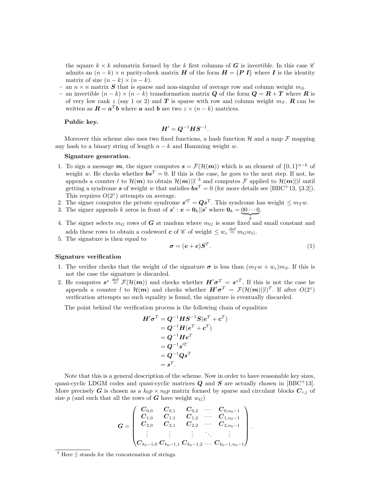the square  $k \times k$  submatrix formed by the k first columns of G is invertible. In this case  $\mathscr C$ admits an  $(n-k) \times n$  parity-check matrix H of the form  $H = (P I)$  where I is the identity matrix of size  $(n - k) \times (n - k)$ .

- an  $n \times n$  matrix S that is sparse and non-singular of average row and column weight  $m<sub>S</sub>$ .
- an invertible  $(n-k) \times (n-k)$  transformation matrix Q of the form  $\mathbf{Q} = \mathbf{R} + \mathbf{T}$  where  $\mathbf{R}$  is of very low rank z (say 1 or 2) and T is sparse with row and column weight  $m_T$ . R can be written as  $\mathbf{R} = \mathbf{a}^T \mathbf{b}$  where  $\mathbf{a}$  and  $\mathbf{b}$  are two  $z \times (n - k)$  matrices.

#### Public key.

$$
\boldsymbol{H}' = \boldsymbol{Q}^{-1} \boldsymbol{H} \boldsymbol{S}^{-1}.
$$

Moreover this scheme also uses two fixed functions, a hash function  $H$  and a map  $\mathcal F$  mapping any hash to a binary string of length  $n - k$  and Hamming weight w.

#### Signature generation.

- 1. To sign a message m, the signer computes  $s = \mathcal{F}(\mathcal{H}(m))$  which is an element of  $\{0,1\}^{n-k}$  of weight w. He checks whether  $\boldsymbol{b} \boldsymbol{s}^T = 0$ . If this is the case, he goes to the next step. If not, he appends a counter l to  $\mathcal{H}(m)$  to obtain  $\mathcal{H}(m)$ ||l<sup>2</sup> and computes  $\mathcal{F}$  applied to  $\mathcal{H}(m)$ ||l<sup>2</sup> until getting a syndrome s of weight w that satisfies  $\mathbf{b} \mathbf{s}^T = 0$  (for more details see [BBC<sup>+</sup>13, §3.2]). This requires  $O(2^z)$  attempts on average.
- 2. The signer computes the private syndrome  $s^{T} = Qs^{T}$ . This syndrome has weight  $\leq m_{T}w$ .
- 3. The signer appends k zeros in front of  $s' : e = \mathbf{0}_k || s'$  where  $\mathbf{0}_k = [0 \cdots 0]$ .
- 4. The signer selects  $m_G$  rows of G at random where  $m_G$  is some fixed and small constant and adds these rows to obtain a codeword  $c$  of  $\mathscr C$  of weight  $\leq w_c \stackrel{\text{def}}{=} m_Gw_G$ .
- 5. The signature is then equal to

$$
\boldsymbol{\sigma} = (\boldsymbol{e} + \boldsymbol{c}) \boldsymbol{S}^T. \tag{1}
$$

.

#### Signature verification

- 1. The verifier checks that the weight of the signature  $\sigma$  is less than  $(m_T w + w_c)m_S$ . If this is not the case the signature is discarded.
- 2. He computes  $s^* \stackrel{\text{def}}{=} \mathcal{F}(\mathcal{H}(m))$  and checks whether  $H'\sigma^T = s^{*T}$ . If this is not the case he appends a counter l to  $\mathcal{H}(m)$  and checks whether  $H'\sigma^T = \mathcal{F}(\mathcal{H}(m)||l)^T$ . If after  $O(2^z)$ verification attempts no such equality is found, the signature is eventually discarded.

The point behind the verification process is the following chain of equalities

$$
H'\sigma^T = Q^{-1}HS^{-1}S(e^T + c^T) = Q^{-1}H(e^T + c^T) = Q^{-1}He^T = Q^{-1}s'^T = Q^{-1}Qs^T = s^T.
$$

Note that this is a general description of the scheme. Now in order to have reasonable key sizes, quasi-cyclic LDGM codes and quasi-cyclic matrices  $Q$  and  $S$  are actually chosen in [BBC<sup>+</sup>13]. More precisely G is chosen as a  $k_0p \times n_0p$  matrix formed by sparse and circulant blocks  $C_{i,j}$  of size p (and such that all the rows of G have weight  $w_G$ )

$$
\boldsymbol{G} = \begin{pmatrix} \boldsymbol{C}_{0,0} & \boldsymbol{C}_{0,1} & \boldsymbol{C}_{0,2} & \cdots & \boldsymbol{C}_{0,n_0-1} \\ \boldsymbol{C}_{1,0} & \boldsymbol{C}_{1,1} & \boldsymbol{C}_{1,2} & \cdots & \boldsymbol{C}_{1,n_0-1} \\ \boldsymbol{C}_{2,0} & \boldsymbol{C}_{2,1} & \boldsymbol{C}_{2,2} & \cdots & \boldsymbol{C}_{2,n_0-1} \\ \vdots & \vdots & \vdots & \ddots & \vdots \\ \boldsymbol{C}_{k_0-1,0} & \boldsymbol{C}_{k_0-1,1} & \boldsymbol{C}_{k_0-1,2} & \ldots & \boldsymbol{C}_{k_0-1,n_0-1} \end{pmatrix}
$$

<sup>&</sup>lt;sup>3</sup> Here  $\parallel$  stands for the concatenation of strings.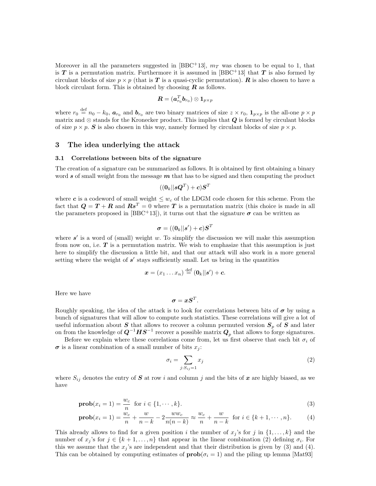Moreover in all the parameters suggested in [BBC+13],  $m<sub>T</sub>$  was chosen to be equal to 1, that is T is a permutation matrix. Furthermore it is assumed in [BBC<sup>+</sup>13] that T is also formed by circulant blocks of size  $p \times p$  (that is T is a quasi-cyclic permutation). R is also chosen to have a block circulant form. This is obtained by choosing  $\boldsymbol{R}$  as follows.

$$
\bm{R}=(\bm{a}_{r_0}^T\bm{b}_{r_0})\otimes\bm{1}_{p\times p}
$$

where  $r_0 \stackrel{\text{def}}{=} n_0 - k_0$ ,  $a_{r_0}$  and  $b_{r_0}$  are two binary matrices of size  $z \times r_0$ ,  $1_{p \times p}$  is the all-one  $p \times p$ matrix and ⊗ stands for the Kronecker product. This implies that  $Q$  is formed by circulant blocks of size  $p \times p$ . S is also chosen in this way, namely formed by circulant blocks of size  $p \times p$ .

## 3 The idea underlying the attack

#### 3.1 Correlations between bits of the signature

The creation of a signature can be summarized as follows. It is obtained by first obtaining a binary word s of small weight from the message  $m$  that has to be signed and then computing the product

$$
((\boldsymbol{0}_k||\boldsymbol{s}\boldsymbol{Q}^T)+\boldsymbol{c})\boldsymbol{S}^T
$$

where c is a codeword of small weight  $\leq w_c$  of the LDGM code chosen for this scheme. From the fact that  $\mathbf{Q} = \mathbf{T} + \mathbf{R}$  and  $\mathbf{R}\mathbf{s}^T = 0$  where T is a permutation matrix (this choice is made in all the parameters proposed in [BBC<sup>+</sup>13]), it turns out that the signature  $\sigma$  can be written as

$$
\boldsymbol{\sigma}=((\boldsymbol{0}_k||\boldsymbol{s}')+\boldsymbol{c})\boldsymbol{S}^T
$$

where  $s'$  is a word of (small) weight w. To simplify the discussion we will make this assumption from now on, i.e.  $T$  is a permutation matrix. We wish to emphasize that this assumption is just here to simplify the discussion a little bit, and that our attack will also work in a more general setting where the weight of  $s'$  stays sufficiently small. Let us bring in the quantities

$$
\boldsymbol{x}=(x_1\ldots x_n)\stackrel{\text{def}}{=}(\mathbf{0}_k||\boldsymbol{s}')+\boldsymbol{c}.
$$

Here we have

$$
\boldsymbol{\sigma} = \boldsymbol{x}\boldsymbol{S}^T.
$$

Roughly speaking, the idea of the attack is to look for correlations between bits of  $\sigma$  by using a bunch of signatures that will allow to compute such statistics. These correlations will give a lot of useful information about  $S$  that allows to recover a column permuted version  $S_p$  of  $S$  and later on from the knowledge of  $\boldsymbol{Q}^{-1} \boldsymbol{H} \boldsymbol{S}^{-1}$  recover a possible matrix  $\boldsymbol{Q}_p$  that allows to forge signatures.

Before we explain where these correlations come from, let us first observe that each bit  $\sigma_i$  of  $\sigma$  is a linear combination of a small number of bits  $x_i$ :

$$
\sigma_i = \sum_{j:S_{ij}=1} x_j \tag{2}
$$

where  $S_{ij}$  denotes the entry of  $S$  at row i and column j and the bits of  $x$  are highly biased, as we have

$$
\mathbf{prob}(x_i = 1) = \frac{w_c}{n} \text{ for } i \in \{1, \cdots, k\}.
$$
\n(3)

$$
\mathbf{prob}(x_i = 1) = \frac{w_c}{n} + \frac{w}{n-k} - 2\frac{ww_c}{n(n-k)} \approx \frac{w_c}{n} + \frac{w}{n-k} \text{ for } i \in \{k+1, \dots, n\}.
$$
 (4)

This already allows to find for a given position i the number of  $x_j$ 's for j in  $\{1, \ldots, k\}$  and the number of  $x_j$ 's for  $j \in \{k+1,\ldots,n\}$  that appear in the linear combination (2) defining  $\sigma_i$ . For this we assume that the  $x_j$ 's are independent and that their distribution is given by (3) and (4). This can be obtained by computing estimates of  $\text{prob}(\sigma_i = 1)$  and the piling up lemma [Mat93]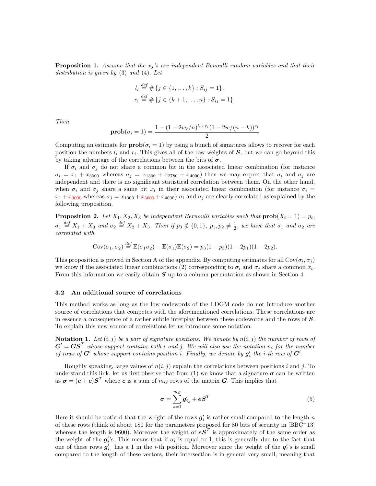**Proposition 1.** Assume that the  $x_j$ 's are independent Benoulli random variables and that their distribution is given by (3) and (4). Let

$$
l_i \stackrel{def}{=} \# \{ j \in \{1, \dots, k\} : S_{ij} = 1 \}.
$$
  

$$
r_i \stackrel{def}{=} \# \{ j \in \{k+1, \dots, n\} : S_{ij} = 1 \}.
$$

Then

$$
\mathbf{prob}(\sigma_i = 1) = \frac{1 - (1 - 2w_c/n)^{l_i + r_i}(1 - 2w/(n - k))^{r_i}}{2}
$$

Computing an estimate for  $\text{prob}(\sigma_i = 1)$  by using a bunch of signatures allows to recover for each position the numbers  $l_i$  and  $r_i$ . This gives all of the row weights of  $S$ , but we can go beyond this by taking advantage of the correlations between the bits of  $\sigma$ .

If  $\sigma_i$  and  $\sigma_j$  do not share a common bit in the associated linear combination (for instance  $\sigma_i = x_1 + x_{3000}$  whereas  $\sigma_j = x_{1300} + x_{2780} + x_{4000}$  then we may expect that  $\sigma_i$  and  $\sigma_j$  are independent and there is no significant statistical correlation between them. On the other hand, when  $\sigma_i$  and  $\sigma_j$  share a same bit  $x_t$  in their associated linear combination (for instance  $\sigma_i$  =  $x_1 + x_{3000}$  whereas  $\sigma_j = x_{1300} + x_{3000} + x_{4000}$   $\sigma_i$  and  $\sigma_j$  are clearly correlated as explained by the following proposition.

**Proposition 2.** Let  $X_1, X_2, X_3$  be independent Bernoulli variables such that  $prob(X_i = 1) = p_i$ ,  $\sigma_1 \stackrel{\text{def}}{=} X_1 + X_3$  and  $\sigma_2 \stackrel{\text{def}}{=} X_2 + X_3$ . Then if  $p_3 \notin \{0,1\}$ ,  $p_1, p_2 \neq \frac{1}{2}$ , we have that  $\sigma_1$  and  $\sigma_2$  are correlated with

$$
Cov(\sigma_1, \sigma_2) \stackrel{def}{=} \mathbb{E}(\sigma_1 \sigma_2) - \mathbb{E}(\sigma_1)\mathbb{E}(\sigma_2) = p_3(1-p_3)(1-2p_1)(1-2p_2).
$$

This proposition is proved in Section A of the appendix. By computing estimates for all Cov $(\sigma_i, \sigma_j)$ we know if the associated linear combinations (2) corresponding to  $\sigma_i$  and  $\sigma_j$  share a common  $x_t$ . From this information we easily obtain  $S$  up to a column permutation as shown in Section 4.

#### 3.2 An additional source of correlations

This method works as long as the low codewords of the LDGM code do not introduce another source of correlations that competes with the aforementioned correlations. These correlations are in essence a consequence of a rather subtle interplay between these codewords and the rows of  $S$ . To explain this new source of correlations let us introduce some notation.

**Notation 1.** Let  $(i, j)$  be a pair of signature positions. We denote by  $n(i, j)$  the number of rows of  $G' = G S^T$  whose support contains both i and j. We will also use the notation  $n_i$  for the number of rows of  $G'$  whose support contains position i. Finally, we denote by  $g'_i$  the i-th row of  $G'$ .

Roughly speaking, large values of  $n(i, j)$  explain the correlations between positions i and j. To understand this link, let us first observe that from (1) we know that a signature  $\sigma$  can be written as  $\sigma = (e+c)S^T$  where c is a sum of  $m_G$  rows of the matrix G. This implies that

$$
\boldsymbol{\sigma} = \sum_{s=1}^{m_G} \boldsymbol{g}'_{i_s} + \boldsymbol{e} \boldsymbol{S}^T \tag{5}
$$

Here it should be noticed that the weight of the rows  $g_i'$  is rather small compared to the length n of these rows (think of about 180 for the parameters proposed for 80 bits of security in [BBC<sup>+</sup>13] whereas the length is 9600). Moreover the weight of  $\boldsymbol{\epsilon} \boldsymbol{S}^T$  is approximately of the same order as the weight of the  $g_i$ 's. This means that if  $\sigma_i$  is equal to 1, this is generally due to the fact that one of these rows  $g'_{i_s}$  has a 1 in the *i*-th position. Moreover since the weight of the  $g_i'$ 's is small compared to the length of these vectors, their intersection is in general very small, meaning that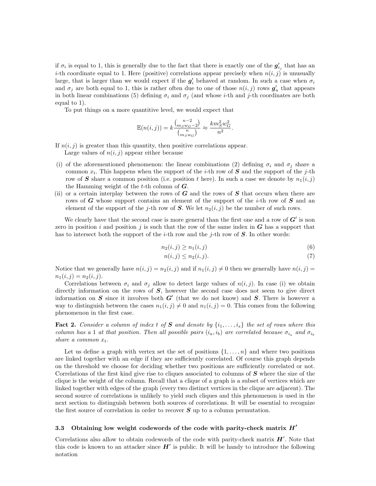if  $\sigma_i$  is equal to 1, this is generally due to the fact that there is exactly one of the  $g'_{i_j}$  that has an *i*-th coordinate equal to 1. Here (positive) correlations appear precisely when  $n(i, j)$  is unusually large, that is larger than we would expect if the  $g_i'$  behaved at random. In such a case when  $\sigma_i$ and  $\sigma_j$  are both equal to 1, this is rather often due to one of those  $n(i,j)$  rows  $g'_u$  that appears in both linear combinations (5) defining  $\sigma_i$  and  $\sigma_j$  (and whose *i*-th and *j*-th coordinates are both equal to 1).

To put things on a more quantitive level, we would expect that

$$
\mathbb{E}(n(i,j)) = k \frac{\binom{n-2}{m_S w_G - 2}}{\binom{n}{m_S w_G}} \approx \frac{km_S^2 w_G^2}{n^2}.
$$

If  $n(i, j)$  is greater than this quantity, then positive correlations appear.

Large values of  $n(i, j)$  appear either because

- (i) of the aforementioned phenomenon: the linear combinations (2) defining  $\sigma_i$  and  $\sigma_j$  share a common  $x_t$ . This happens when the support of the *i*-th row of S and the support of the *j*-th row of S share a common position (i.e. position t here). In such a case we denote by  $n_1(i, j)$ the Hamming weight of the  $t$ -th column of  $G$ .
- (ii) or a certain interplay between the rows of  $G$  and the rows of  $S$  that occurs when there are rows of G whose support contains an element of the support of the *i*-th row of  $S$  and an element of the support of the j-th row of S. We let  $n_2(i, j)$  be the number of such rows.

We clearly have that the second case is more general than the first one and a row of  $G'$  is non zero in position i and position j is such that the row of the same index in  $\boldsymbol{G}$  has a support that has to intersect both the support of the *i*-th row and the *j*-th row of  $S$ . In other words:

$$
n_2(i,j) \ge n_1(i,j) \tag{6}
$$

$$
n(i,j) \le n_2(i,j). \tag{7}
$$

Notice that we generally have  $n(i, j) = n_2(i, j)$  and if  $n_1(i, j) \neq 0$  then we generally have  $n(i, j) =$  $n_1(i, j) = n_2(i, j).$ 

Correlations between  $\sigma_i$  and  $\sigma_j$  allow to detect large values of  $n(i, j)$ . In case (i) we obtain directly information on the rows of  $S$ , however the second case does not seem to give direct information on S since it involves both  $G'$  (that we do not know) and S. There is however a way to distinguish between the cases  $n_1(i, j) \neq 0$  and  $n_1(i, j) = 0$ . This comes from the following phenomenon in the first case.

**Fact 2.** Consider a column of index t of S and denote by  $\{i_1, \ldots, i_s\}$  the set of rows where this column has a 1 at that position. Then all possible pairs  $(i_a, i_b)$  are correlated because  $\sigma_{i_a}$  and  $\sigma_{i_b}$ share a common  $x_t$ .

Let us define a graph with vertex set the set of positions  $\{1, \ldots, n\}$  and where two positions are linked together with an edge if they are sufficiently correlated. Of course this graph depends on the threshold we choose for deciding whether two positions are sufficiently correlated or not. Correlations of the first kind give rise to cliques associated to columns of  $S$  where the size of the clique is the weight of the column. Recall that a clique of a graph is a subset of vertices which are linked together with edges of the graph (every two distinct vertices in the clique are adjacent). The second source of correlations is unlikely to yield such cliques and this phenomenon is used in the next section to distinguish between both sources of correlations. It will be essential to recognize the first source of correlation in order to recover  $S$  up to a column permutation.

#### 3.3 Obtaining low weight codewords of the code with parity-check matrix  $H'$

Correlations also allow to obtain codewords of the code with parity-check matrix  $H'$ . Note that this code is known to an attacker since  $H'$  is public. It will be handy to introduce the following notation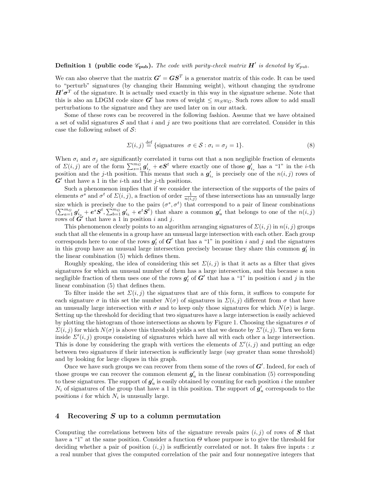# **Definition 1** (public code  $\mathscr{C}_{\text{pub}}$ ). The code with parity-check matrix  $H'$  is denoted by  $\mathscr{C}_{\text{pub}}$ .

We can also observe that the matrix  $G' = GS^T$  is a generator matrix of this code. It can be used to "perturb" signatures (by changing their Hamming weight), without changing the syndrome  $H'\sigma^T$  of the signature. It is actually used exactly in this way in the signature scheme. Note that this is also an LDGM code since  $G'$  has rows of weight  $\leq m_Sw_G$ . Such rows allow to add small perturbations to the signature and they are used later on in our attack.

Some of these rows can be recovered in the following fashion. Assume that we have obtained a set of valid signatures S and that i and j are two positions that are correlated. Consider in this case the following subset of  $\mathcal{S}$ :

$$
\Sigma(i,j) \stackrel{\text{def}}{=} \{ \text{signatures } \sigma \in \mathcal{S} : \sigma_i = \sigma_j = 1 \}. \tag{8}
$$

When  $\sigma_i$  and  $\sigma_j$  are significantly correlated it turns out that a non negligible fraction of elements of  $\Sigma(i, j)$  are of the form  $\sum_{s=1}^{mG} g'_{i_s} + \boldsymbol{e} S^t$  where exactly one of those  $g'_{i_s}$  has a "1" in the *i*-th position and the j-th position. This means that such a  $g'_{i_s}$  is precisely one of the  $n(i, j)$  rows of  $G'$  that have a 1 in the *i*-th and the *j*-th positions.

Such a phenomenon implies that if we consider the intersection of the supports of the pairs of elements  $\sigma^s$  and  $\sigma^t$  of  $\Sigma(i, j)$ , a fraction of order  $\frac{1}{n(i,j)}$  of these intersections has an unusually large size which is precisely due to the pairs  $(\sigma^s, \sigma^t)$  that correspond to a pair of linear combinations  $\left(\sum_{a=1}^{m_G} g'_{i_a} + e^s S^t, \sum_{b=1}^{m_G} g'_{i_b} + e^t S^t\right)$  that share a common  $g'_u$  that belongs to one of the  $n(i,j)$ rows of  $\vec{G}'$  that have a 1 in position i and j.

This phenomenon clearly points to an algorithm arranging signatures of  $\Sigma(i, j)$  in  $n(i, j)$  groups such that all the elements in a group have an unusual large intersection with each other. Each group corresponds here to one of the rows  $g'_{l}$  of  $G'$  that has a "1" in position i and j and the signatures in this group have an unusual large intersection precisely because they share this common  $g'_{l}$  in the linear combination (5) which defines them.

Roughly speaking, the idea of considering this set  $\Sigma(i, j)$  is that it acts as a filter that gives signatures for which an unusual number of them has a large intersection, and this because a non negligible fraction of them uses one of the rows  $g'_{l}$  of  $G'$  that has a "1" in position i and j in the linear combination (5) that defines them.

To filter inside the set  $\Sigma(i, j)$  the signatures that are of this form, it suffices to compute for each signature  $\sigma$  in this set the number  $N(\sigma)$  of signatures in  $\Sigma(i, j)$  different from  $\sigma$  that have an unusually large intersection with  $\sigma$  and to keep only those signatures for which  $N(\sigma)$  is large. Setting up the threshold for deciding that two signatures have a large intersection is easily achieved by plotting the histogram of those intersections as shown by Figure 1. Choosing the signatures  $\sigma$  of  $\Sigma(i, j)$  for which  $N(\sigma)$  is above this threshold yields a set that we denote by  $\Sigma'(i, j)$ . Then we form inside  $\Sigma'(i, j)$  groups consisting of signatures which have all with each other a large intersection. This is done by considering the graph with vertices the elements of  $\Sigma'(i, j)$  and putting an edge between two signatures if their intersection is sufficiently large (say greater than some threshold) and by looking for large cliques in this graph.

Once we have such groups we can recover from them some of the rows of  $G'$ . Indeed, for each of those groups we can recover the common element  $g'_{u}$  in the linear combination (5) corresponding to these signatures. The support of  $g'_{u}$  is easily obtained by counting for each position i the number  $N_i$  of signatures of the group that have a 1 in this position. The support of  $g'_u$  corresponds to the positions  $i$  for which  $N_i$  is unusually large.

## 4 Recovering S up to a column permutation

Computing the correlations between bits of the signature reveals pairs  $(i, j)$  of rows of S that have a "1" at the same position. Consider a function  $\Theta$  whose purpose is to give the threshold for deciding whether a pair of position  $(i, j)$  is sufficiently correlated or not. It takes five inputs : x a real number that gives the computed correlation of the pair and four nonnegative integers that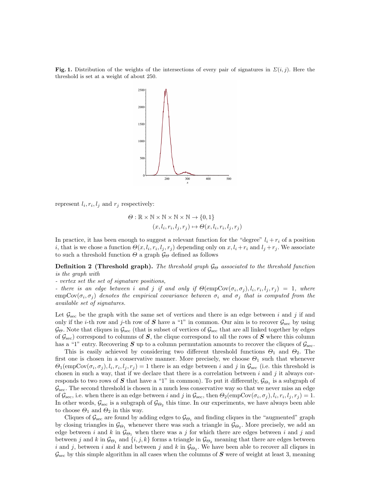**Fig. 1.** Distribution of the weights of the intersections of every pair of signatures in  $\Sigma(i, j)$ . Here the threshold is set at a weight of about 250.



represent  $l_i, r_i, l_j$  and  $r_j$  respectively:

$$
\Theta : \mathbb{R} \times \mathbb{N} \times \mathbb{N} \times \mathbb{N} \times \mathbb{N} \to \{0, 1\}
$$
  

$$
(x, l_i, r_i, l_j, r_j) \mapsto \Theta(x, l_i, r_i, l_j, r_j)
$$

In practice, it has been enough to suggest a relevant function for the "degree"  $l_i + r_i$  of a position *i*, that is we chose a function  $\Theta(x, l_i, r_i, l_j, r_j)$  depending only on  $x, l_i + r_i$  and  $l_j + r_j$ . We associate to such a threshold function  $\Theta$  a graph  $\mathcal{G}_{\Theta}$  defined as follows

**Definition 2 (Threshold graph).** The threshold graph  $\mathcal{G}_{\Theta}$  associated to the threshold function is the graph with

- vertex set the set of signature positions,

- there is an edge between i and j if and only if  $\Theta$ (empCov $(\sigma_i, \sigma_j)$ ,  $l_i, r_i, l_j, r_j) = 1$ , where  $empCov(\sigma_i, \sigma_j)$  denotes the empirical covariance between  $\sigma_i$  and  $\sigma_j$  that is computed from the available set of signatures.

Let  $\mathcal{G}_{\text{sec}}$  be the graph with the same set of vertices and there is an edge between i and j if and only if the *i*-th row and *j*-th row of S have a "1" in common. Our aim is to recover  $\mathcal{G}_{\text{sec}}$  by using  $\mathcal{G}_{\Theta}$ . Note that cliques in  $\mathcal{G}_{\text{sec}}$  (that is subset of vertices of  $\mathcal{G}_{\text{sec}}$  that are all linked together by edges of  $\mathcal{G}_{\text{sec}}$  correspond to columns of S, the clique correspond to all the rows of S where this column has a "1" entry. Recovering  $S$  up to a column permutation amounts to recover the cliques of  $\mathcal{G}_{\text{sec}}$ .

This is easily achieved by considering two different threshold functions  $\Theta_1$  and  $\Theta_2$ . The first one is chosen in a conservative manner. More precisely, we choose  $\Theta_1$  such that whenever  $\Theta_1(\text{empCov}(\sigma_i, \sigma_j), l_i, r_i, l_j, r_j) = 1$  there is an edge between i and j in  $\mathcal{G}_{\text{sec}}$  (i.e. this threshold is chosen in such a way, that if we declare that there is a correlation between  $i$  and  $j$  it always corresponds to two rows of  $S$  that have a "1" in common). To put it differently,  $\mathcal{G}_{\Theta_1}$  is a subgraph of  $\mathcal{G}_{\text{sec}}$ . The second threshold is chosen in a much less conservative way so that we never miss an edge of  $\mathcal{G}_{\text{sec}}$ , i.e. when there is an edge between i and j in  $\mathcal{G}_{\text{sec}}$ , then  $\Theta_2(\text{empCov}(\sigma_i, \sigma_j), l_i, r_i, l_j, r_j) = 1$ . In other words,  $\mathcal{G}_{\text{sec}}$  is a subgraph of  $\mathcal{G}_{\Theta_2}$  this time. In our experiments, we have always been able to choose  $\Theta_1$  and  $\Theta_2$  in this way.

Cliques of  $\mathcal{G}_{\text{sec}}$  are found by adding edges to  $\mathcal{G}_{\Theta_1}$  and finding cliques in the "augmented" graph by closing triangles in  $\mathcal{G}_{\Theta_1}$  whenever there was such a triangle in  $\mathcal{G}_{\Theta_2}$ . More precisely, we add an edge between i and k in  $\mathcal{G}_{\Theta_1}$  when there was a j for which there are edges between i and j and between j and k in  $\mathcal{G}_{\Theta_1}$  and  $\{i, j, k\}$  forms a triangle in  $\mathcal{G}_{\Theta_2}$  meaning that there are edges between i and j, between i and k and between j and k in  $\mathcal{G}_{\Theta_2}$ . We have been able to recover all cliques in  $\mathcal{G}_{\text{sec}}$  by this simple algorithm in all cases when the columns of S were of weight at least 3, meaning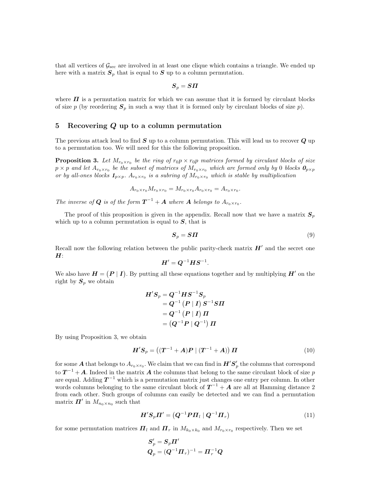that all vertices of  $\mathcal{G}_{\text{sec}}$  are involved in at least one clique which contains a triangle. We ended up here with a matrix  $S_p$  that is equal to  $S$  up to a column permutation.

$$
\boldsymbol{S}_p = \boldsymbol{S}\boldsymbol{\varPi}
$$

where  $\Pi$  is a permutation matrix for which we can assume that it is formed by circulant blocks of size p (by reordering  $S_p$  in such a way that it is formed only by circulant blocks of size p).

## 5 Recovering Q up to a column permutation

The previous attack lead to find  $S$  up to a column permutation. This will lead us to recover  $Q$  up to a permutation too. We will need for this the following proposition.

**Proposition 3.** Let  $M_{r_0 \times r_0}$  be the ring of  $r_0p \times r_0p$  matrices formed by circulant blocks of size  $p\times p$  and let  $A_{r_0\times r_0}$  be the subset of matrices of  $M_{r_0\times r_0}$  which are formed only by 0 blocks  $\bm{\theta}_{p\times p}$ or by all-ones blocks  $\mathbf{1}_{p\times p}$ .  $A_{r_0\times r_0}$  is a subring of  $M_{r_0\times r_0}$  which is stable by multiplication

$$
A_{r_0 \times r_0} M_{r_0 \times r_0} = M_{r_0 \times r_0} A_{r_0 \times r_0} = A_{r_0 \times r_0}.
$$

The inverse of **Q** is of the form  $T^{-1} + A$  where **A** belongs to  $A_{r_0 \times r_0}$ .

The proof of this proposition is given in the appendix. Recall now that we have a matrix  $S_n$ which up to a column permutation is equal to  $S$ , that is

$$
S_p = S\Pi \tag{9}
$$

Recall now the following relation between the public parity-check matrix  $H'$  and the secret one  $H$ :

$$
\boldsymbol{H}' = \boldsymbol{Q}^{-1} \boldsymbol{H} \boldsymbol{S}^{-1}.
$$

We also have  $H = (P | I)$ . By putting all these equations together and by multiplying  $H'$  on the right by  $S_p$  we obtain

$$
\begin{aligned} H'S_p &= Q^{-1}H S^{-1}S_p \\ &= Q^{-1}\left(P \:|\: I\right)S^{-1} S \Pi \\ &= Q^{-1}\left(P \:|\: I\right) \Pi \\ &= \left(Q^{-1}P \:|\: Q^{-1}\right) \Pi \end{aligned}
$$

By using Proposition 3, we obtain

$$
H'S_p = ((T^{-1} + A)P | (T^{-1} + A)) \Pi
$$
\n(10)

for some  $A$  that belongs to  $A_{r_0\times r_0}$ . We claim that we can find in  $H'S'_p$  the columns that correspond to  $T^{-1} + A$ . Indeed in the matrix A the columns that belong to the same circulant block of size p are equal. Adding  $T^{-1}$  which is a permutation matrix just changes one entry per column. In other words columns belonging to the same circulant block of  $T^{-1} + A$  are all at Hamming distance 2 from each other. Such groups of columns can easily be detected and we can find a permutation matrix  $\boldsymbol{\Pi}'$  in  $M_{n_0 \times n_0}$  such that

$$
H'S_p \Pi' = (Q^{-1} P \Pi_l \mid Q^{-1} \Pi_r)
$$
\n(11)

for some permutation matrices  $\bm{\Pi}_l$  and  $\bm{\Pi}_r$  in  $M_{k_0\times k_0}$  and  $M_{r_0\times r_0}$  respectively. Then we set

$$
\begin{aligned} \boldsymbol{S}_p' &= \boldsymbol{S}_p \boldsymbol{\varPi}' \\ \boldsymbol{Q}_p &= (\boldsymbol{Q}^{-1} \boldsymbol{\varPi}_r)^{-1} = \boldsymbol{\varPi}_r^{-1} \boldsymbol{Q} \end{aligned}
$$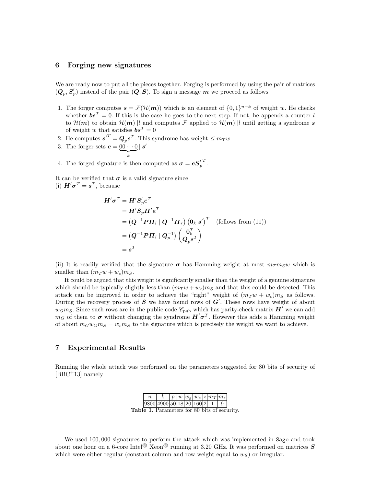## 6 Forging new signatures

We are ready now to put all the pieces together. Forging is performed by using the pair of matrices  $(Q_p, S'_p)$  instead of the pair  $(Q, S)$ . To sign a message  $m$  we proceed as follows

- 1. The forger computes  $s = \mathcal{F}(\mathcal{H}(m))$  which is an element of  $\{0,1\}^{n-k}$  of weight w. He checks whether  $\boldsymbol{b} \boldsymbol{s}^T = 0$ . If this is the case he goes to the next step. If not, he appends a counter l to  $\mathcal{H}(m)$  to obtain  $\mathcal{H}(m)||l$  and computes F applied to  $\mathcal{H}(m)||l$  until getting a syndrome s of weight w that satisfies  $\boldsymbol{b} \boldsymbol{s}^T = 0$
- 2. He computes  $s'^T = \mathbf{Q}_p s^T$ . This syndrome has weight  $\leq m_T w$
- 3. The forger sets  $e = 00 \cdots 0$  $\overline{\phantom{a}}_k$  $||s'$
- 4. The forged signature is then computed as  $\sigma = eS_p'$ T .

It can be verified that  $\sigma$  is a valid signature since (i)  $\mathbf{H}'\boldsymbol{\sigma}^T = \mathbf{s}^T$ , because

$$
H'\sigma^T = H'S_p' e^T
$$
  
=  $H'S_p \Pi' e^T$   
=  $(Q^{-1} P \Pi_l | Q^{-1} \Pi_r) (0_k s')^T$  (follows from (11))  
=  $(Q^{-1} P \Pi_l | Q_p^{-1}) (0_k s')^T$   
=  $s^T$ 

(ii) It is readily verified that the signature  $\sigma$  has Hamming weight at most  $m_T m_S w$  which is smaller than  $(m_T w + w_c) m_S$ .

It could be argued that this weight is significantly smaller than the weight of a genuine signature which should be typically slightly less than  $(m_T w + w_c) m_S$  and that this could be detected. This attack can be improved in order to achieve the "right" weight of  $(m_T w + w_c) m_S$  as follows. During the recovery process of  $S$  we have found rows of  $G'$ . These rows have weight of about  $w_G m_S$ . Since such rows are in the public code  $\mathscr{C}_{\text{pub}}$  which has parity-check matrix  $H'$  we can add  $m_G$  of them to  $\sigma$  without changing the syndrome  $H'\sigma^T$ . However this adds a Hamming weight of about  $m_Gw_Gm_S = w_c m_S$  to the signature which is precisely the weight we want to achieve.

# 7 Experimental Results

Running the whole attack was performed on the parameters suggested for 80 bits of security of [BBC<sup>+</sup>13] namely

| n      |                                   |  |  | $p  w   w_q   w_c   z   m_T   m_s  $ |  |
|--------|-----------------------------------|--|--|--------------------------------------|--|
|        | 9800 4900 50 18  20  160 2  -     |  |  |                                      |  |
| 1 ماطد | Paramotors for 80 hits of socurit |  |  |                                      |  |

Table 1. Parameters for 80 bits of security.

We used  $100,000$  signatures to perform the attack which was implemented in Sage and took about one hour on a 6-core Intel<sup>®</sup> Xeon<sup>®</sup> running at 3.20 GHz. It was performed on matrices S which were either regular (constant column and row weight equal to  $w_S$ ) or irregular.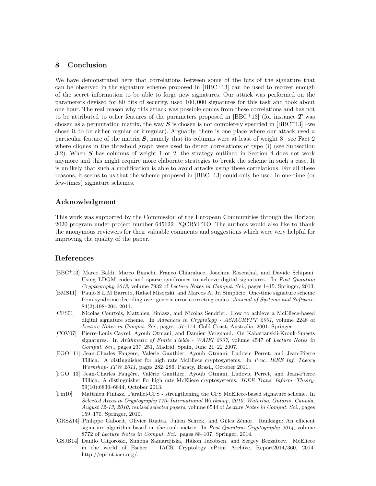# 8 Conclusion

We have demonstrated here that correlations between some of the bits of the signature that can be observed in the signature scheme proposed in  $[BBC+13]$  can be used to recover enough of the secret information to be able to forge new signatures. Our attack was performed on the parameters devised for 80 bits of security, used 100, 000 signatures for this task and took about one hour. The real reason why this attack was possible comes from these correlations and has not to be attributed to other features of the parameters proposed in  $[BBC+13]$  (for instance T was chosen as a permutation matrix, the way  $S$  is chosen is not completely specified in [BBC<sup>+</sup>13] –we chose it to be either regular or irregular). Arguably, there is one place where our attack used a particular feature of the matrix  $S$ , namely that its columns were at least of weight  $3$  –see Fact  $2$ where cliques in the threshold graph were used to detect correlations of type (i) (see Subsection 3.2). When  $S$  has columns of weight 1 or 2, the strategy outlined in Section 4 does not work anymore and this might require more elaborate strategies to break the scheme in such a case. It is unlikely that such a modification is able to avoid attacks using these correlations. For all these reasons, it seems to us that the scheme proposed in [BBC+13] could only be used in one-time (or few-times) signature schemes.

# Acknowledgment

This work was supported by the Commission of the European Communities through the Horizon 2020 program under project number 645622 PQCRYPTO. The authors would also like to thank the anonymous reviewers for their valuable comments and suggestions which were very helpful for improving the quality of the paper.

# References

- [BBC<sup>+</sup>13] Marco Baldi, Marco Bianchi, Franco Chiaraluce, Joachim Rosenthal, and Davide Schipani. Using LDGM codes and sparse syndromes to achieve digital signatures. In Post-Quantum Cryptography 2013, volume 7932 of Lecture Notes in Comput. Sci., pages 1–15. Springer, 2013.
- [BMS11] Paulo S.L.M Barreto, Rafael Misoczki, and Marcos A. Jr. Simplicio. One-time signature scheme from syndrome decoding over generic error-correcting codes. Journal of Systems and Software, 84(2):198–204, 2011.
- [CFS01] Nicolas Courtois, Matthieu Finiasz, and Nicolas Sendrier. How to achieve a McEliece-based digital signature scheme. In Advances in Cryptology - ASIACRYPT 2001, volume 2248 of Lecture Notes in Comput. Sci., pages 157–174, Gold Coast, Australia, 2001. Springer.
- [COV07] Pierre-Louis Cayrel, Ayoub Otmani, and Damien Vergnaud. On Kabatianskii-Krouk-Smeets signatures. In Arithmetic of Finite Fields - WAIFI 2007, volume 4547 of Lecture Notes in Comput. Sci., pages 237–251, Madrid, Spain, June 21–22 2007.
- [FGO<sup>+</sup>11] Jean-Charles Faugère, Valérie Gauthier, Ayoub Otmani, Ludovic Perret, and Jean-Pierre Tillich. A distinguisher for high rate McEliece cryptosystems. In Proc. IEEE Inf. Theory Workshop- ITW 2011, pages 282–286, Paraty, Brasil, October 2011.
- [FGO<sup>+</sup>13] Jean-Charles Faugère, Valérie Gauthier, Ayoub Otmani, Ludovic Perret, and Jean-Pierre Tillich. A distinguisher for high rate McEliece cryptosystems. IEEE Trans. Inform. Theory, 59(10):6830–6844, October 2013.
- [Fin10] Matthieu Finiasz. Parallel-CFS strengthening the CFS McEliece-based signature scheme. In Selected Areas in Cryptography 17th International Workshop, 2010, Waterloo, Ontario, Canada, August 12-13, 2010, revised selected papers, volume 6544 of Lecture Notes in Comput. Sci., pages 159–170. Springer, 2010.
- [GRSZ14] Philippe Gaborit, Olivier Ruatta, Julien Schrek, and Gilles Z´emor. Ranksign: An efficient signature algorithm based on the rank metric. In Post-Quantum Cryptography  $2014$ , volume 8772 of Lecture Notes in Comput. Sci., pages 88–107. Springer, 2014.
- [GSJB14] Danilo Gligoroski, Simona Samardjiska, Håkon Jacobsen, and Sergey Bezzateev. McEliece in the world of Escher. IACR Cryptology ePrint Archive, Report2014/360, 2014. http://eprint.iacr.org/.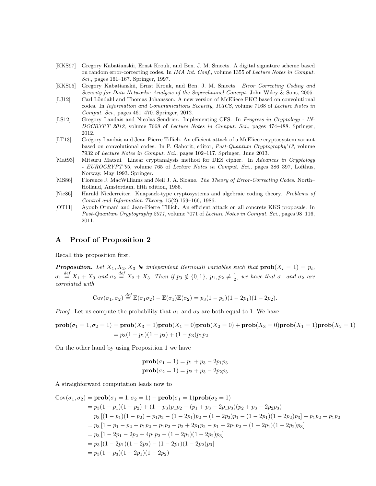- [KKS97] Gregory Kabatianskii, Ernst Krouk, and Ben. J. M. Smeets. A digital signature scheme based on random error-correcting codes. In IMA Int. Conf., volume 1355 of Lecture Notes in Comput. Sci., pages 161–167. Springer, 1997.
- [KKS05] Gregory Kabatianskii, Ernst Krouk, and Ben. J. M. Smeets. Error Correcting Coding and Security for Data Networks: Analysis of the Superchannel Concept. John Wiley & Sons, 2005.
- [LJ12] Carl Löndahl and Thomas Johansson. A new version of McEliece PKC based on convolutional codes. In Information and Communications Security, ICICS, volume 7168 of Lecture Notes in Comput. Sci., pages 461–470. Springer, 2012.
- [LS12] Gregory Landais and Nicolas Sendrier. Implementing CFS. In Progress in Cryptology IN-DOCRYPT 2012, volume 7668 of Lecture Notes in Comput. Sci., pages 474–488. Springer, 2012.
- [LT13] Grégory Landais and Jean-Pierre Tillich. An efficient attack of a McEliece cryptosystem variant based on convolutional codes. In P. Gaborit, editor, Post-Quantum Cryptography'13, volume 7932 of Lecture Notes in Comput. Sci., pages 102–117. Springer, June 2013.
- [Mat93] Mitsuru Matsui. Linear cryptanalysis method for DES cipher. In Advances in Cryptology - EUROCRYPT'93, volume 765 of Lecture Notes in Comput. Sci., pages 386–397, Lofthus, Norway, May 1993. Springer.
- [MS86] Florence J. MacWilliams and Neil J. A. Sloane. The Theory of Error-Correcting Codes. North– Holland, Amsterdam, fifth edition, 1986.
- [Nie86] Harald Niederreiter. Knapsack-type cryptosystems and algebraic coding theory. Problems of Control and Information Theory, 15(2):159–166, 1986.
- [OT11] Ayoub Otmani and Jean-Pierre Tillich. An efficient attack on all concrete KKS proposals. In Post-Quantum Cryptography 2011, volume 7071 of Lecture Notes in Comput. Sci., pages 98–116, 2011.

# A Proof of Proposition 2

Recall this proposition first.

**Proposition.** Let  $X_1, X_2, X_3$  be independent Bernoulli variables such that  $prob(X_i = 1) = p_i$ ,  $\sigma_1 \stackrel{\text{def}}{=} X_1 + X_3$  and  $\sigma_2 \stackrel{\text{def}}{=} X_2 + X_3$ . Then if  $p_3 \notin \{0,1\}$ ,  $p_1, p_2 \neq \frac{1}{2}$ , we have that  $\sigma_1$  and  $\sigma_2$  are correlated with

$$
Cov(\sigma_1, \sigma_2) \stackrel{def}{=} \mathbb{E}(\sigma_1 \sigma_2) - \mathbb{E}(\sigma_1)\mathbb{E}(\sigma_2) = p_3(1-p_3)(1-2p_1)(1-2p_2).
$$

*Proof.* Let us compute the probability that  $\sigma_1$  and  $\sigma_2$  are both equal to 1. We have

$$
\text{prob}(\sigma_1 = 1, \sigma_2 = 1) = \text{prob}(X_3 = 1)\text{prob}(X_1 = 0)\text{prob}(X_2 = 0) + \text{prob}(X_3 = 0)\text{prob}(X_1 = 1)\text{prob}(X_2 = 1) = p_3(1 - p_1)(1 - p_2) + (1 - p_3)p_1p_2
$$

On the other hand by using Proposition 1 we have

$$
prob(\sigma_1 = 1) = p_1 + p_3 - 2p_1p_3
$$
  
\n $prob(\sigma_2 = 1) = p_2 + p_3 - 2p_2p_3$ 

A straighforward computation leads now to

$$
Cov(\sigma_1, \sigma_2) = \text{prob}(\sigma_1 = 1, \sigma_2 = 1) - \text{prob}(\sigma_1 = 1)\text{prob}(\sigma_2 = 1)
$$
  
=  $p_3(1 - p_1)(1 - p_2) + (1 - p_3)p_1p_2 - (p_1 + p_3 - 2p_1p_3)(p_2 + p_3 - 2p_2p_3)$   
=  $p_3[(1 - p_1)(1 - p_2) - p_1p_2 - (1 - 2p_1)p_2 - (1 - 2p_2)p_1 - (1 - 2p_1)(1 - 2p_2)p_3] + p_1p_2 - p_1p_2$   
=  $p_3[1 - p_1 - p_2 + p_1p_2 - p_1p_2 - p_2 + 2p_1p_2 - p_1 + 2p_1p_2 - (1 - 2p_1)(1 - 2p_2)p_3]$   
=  $p_3[1 - 2p_1 - 2p_2 + 4p_1p_2 - (1 - 2p_1)(1 - 2p_2)p_3]$   
=  $p_3[(1 - 2p_1)(1 - 2p_2) - (1 - 2p_1)(1 - 2p_2)p_3]$   
=  $p_3(1 - p_3)(1 - 2p_1)(1 - 2p_2)$